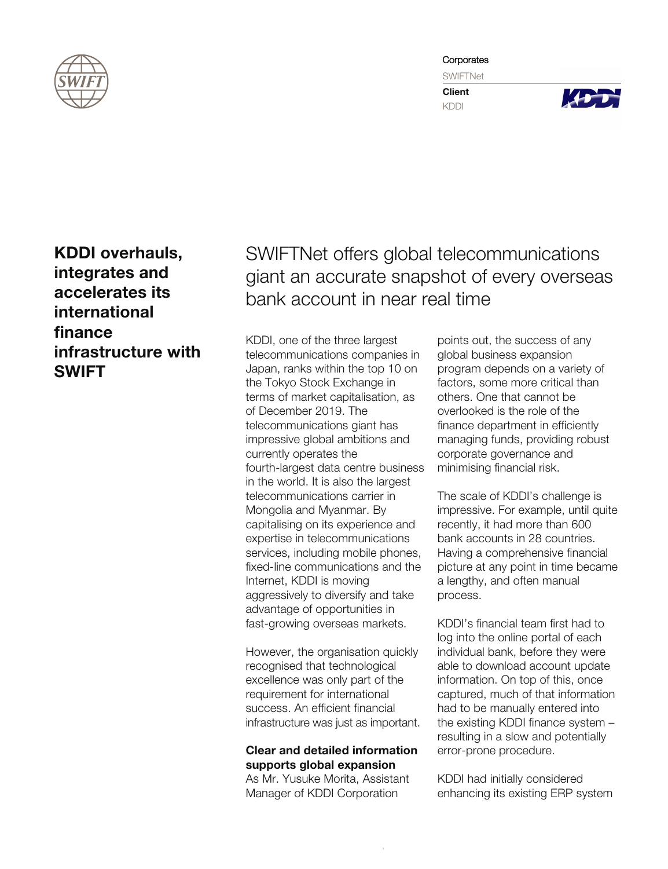

**Corporates** 

**SWIFTNet** 

**Client** KDDI



KDDI overhauls, integrates and accelerates its international finance infrastructure with SWIFT

SWIFTNet offers global telecommunications giant an accurate snapshot of every overseas bank account in near real time

KDDI, one of the three largest telecommunications companies in Japan, ranks within the top 10 on the Tokyo Stock Exchange in terms of market capitalisation, as of December 2019. The telecommunications giant has impressive global ambitions and currently operates the fourth-largest data centre business in the world. It is also the largest telecommunications carrier in Mongolia and Myanmar. By capitalising on its experience and expertise in telecommunications services, including mobile phones, xed-line communications and the Internet, KDDI is moving aggressively to diversify and take advantage of opportunities in fast-growing overseas markets.

However, the organisation quickly recognised that technological excellence was only part of the requirement for international success. An efficient financial infrastructure was just as important.

## Clear and detailed information supports global expansion

As Mr. Yusuke Morita, Assistant Manager of KDDI Corporation

points out, the success of any global business expansion program depends on a variety of factors, some more critical than others. One that cannot be overlooked is the role of the finance department in efficiently managing funds, providing robust corporate governance and minimising financial risk.

The scale of KDDI's challenge is impressive. For example, until quite recently, it had more than 600 bank accounts in 28 countries. Having a comprehensive financial picture at any point in time became a lengthy, and often manual process.

KDDI's financial team first had to log into the online portal of each individual bank, before they were able to download account update information. On top of this, once captured, much of that information had to be manually entered into the existing KDDI finance system  $$ resulting in a slow and potentially error-prone procedure.

KDDI had initially considered enhancing its existing ERP system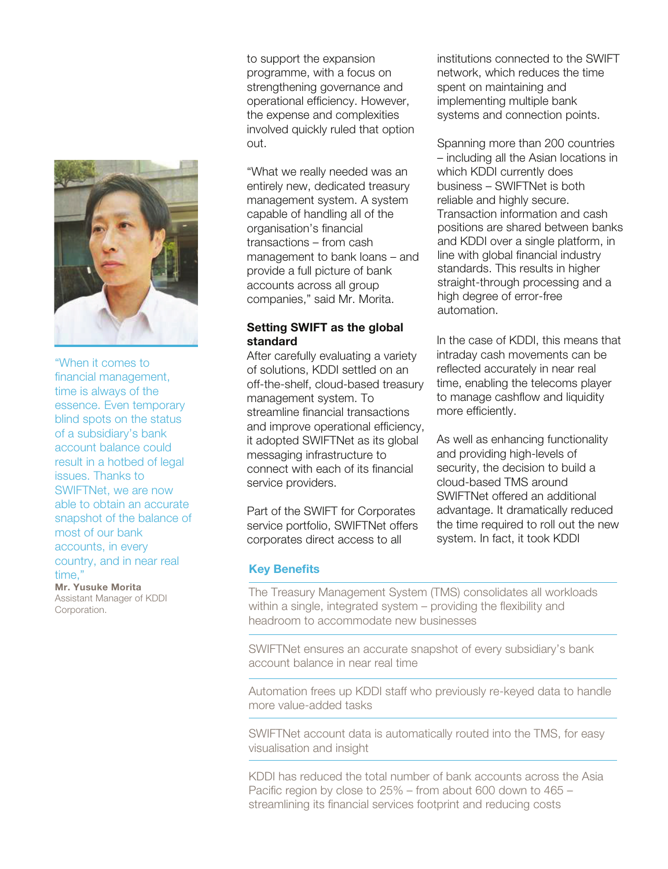

"When it comes to financial management. time is always of the essence. Even temporary blind spots on the status of a subsidiary's bank account balance could result in a hotbed of legal issues. Thanks to SWIFTNet, we are now able to obtain an accurate snapshot of the balance of most of our bank accounts, in every country, and in near real time,"

Mr. Yusuke Morita Assistant Manager of KDDI Corporation.

to support the expansion programme, with a focus on strengthening governance and operational efficiency. However, the expense and complexities involved quickly ruled that option out.

"What we really needed was an entirely new, dedicated treasury management system. A system capable of handling all of the organisation's financial transactions – from cash management to bank loans – and provide a full picture of bank accounts across all group companies," said Mr. Morita.

## Setting SWIFT as the global standard

After carefully evaluating a variety of solutions, KDDI settled on an off-the-shelf, cloud-based treasury management system. To streamline financial transactions and improve operational efficiency, it adopted SWIFTNet as its global messaging infrastructure to connect with each of its financial service providers.

Part of the SWIFT for Corporates service portfolio, SWIFTNet offers corporates direct access to all

institutions connected to the SWIFT network, which reduces the time spent on maintaining and implementing multiple bank systems and connection points.

Spanning more than 200 countries – including all the Asian locations in which KDDI currently does business – SWIFTNet is both reliable and highly secure. Transaction information and cash positions are shared between banks and KDDI over a single platform, in line with global financial industry standards. This results in higher straight-through processing and a high degree of error-free automation.

In the case of KDDI, this means that intraday cash movements can be reflected accurately in near real time, enabling the telecoms player to manage cashflow and liquidity more efficiently.

As well as enhancing functionality and providing high-levels of security, the decision to build a cloud-based TMS around SWIFTNet offered an additional advantage. It dramatically reduced the time required to roll out the new system. In fact, it took KDDI

# **Key Benefits**

The Treasury Management System (TMS) consolidates all workloads within a single, integrated system  $-$  providing the flexibility and headroom to accommodate new businesses

SWIFTNet ensures an accurate snapshot of every subsidiary's bank account balance in near real time

Automation frees up KDDI staff who previously re-keyed data to handle more value-added tasks

SWIFTNet account data is automatically routed into the TMS, for easy visualisation and insight

KDDI has reduced the total number of bank accounts across the Asia Pacific region by close to  $25%$  – from about 600 down to  $465$  – streamlining its financial services footprint and reducing costs